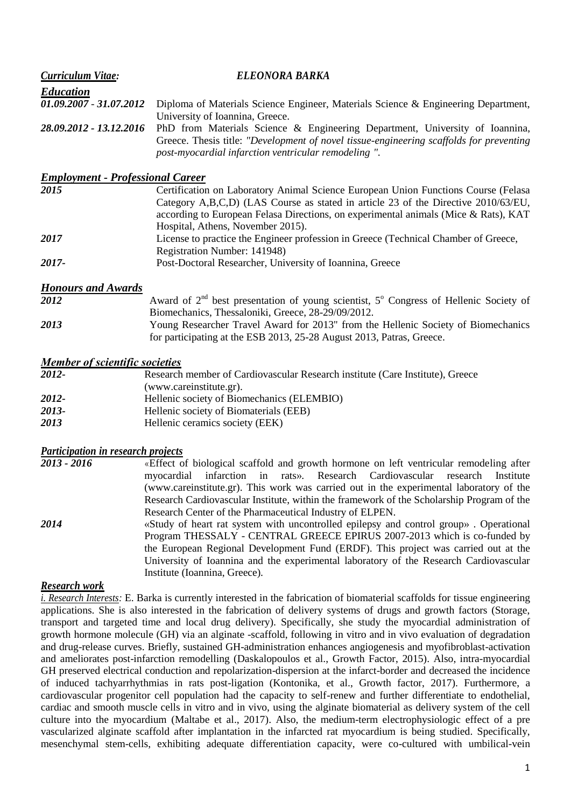| <b>Curriculum Vitae:</b>                | ELEONORA BARKA                                                                                                                                                                                                                                                                                       |
|-----------------------------------------|------------------------------------------------------------------------------------------------------------------------------------------------------------------------------------------------------------------------------------------------------------------------------------------------------|
| <b>Education</b>                        |                                                                                                                                                                                                                                                                                                      |
| 01.09.2007 - 31.07.2012                 | Diploma of Materials Science Engineer, Materials Science & Engineering Department,<br>University of Ioannina, Greece.                                                                                                                                                                                |
| 28.09.2012 - 13.12.2016                 | PhD from Materials Science & Engineering Department, University of Ioannina,<br>Greece. Thesis title: "Development of novel tissue-engineering scaffolds for preventing<br>post-myocardial infarction ventricular remodeling ".                                                                      |
| <b>Employment - Professional Career</b> |                                                                                                                                                                                                                                                                                                      |
| 2015                                    | Certification on Laboratory Animal Science European Union Functions Course (Felasa<br>Category A,B,C,D) (LAS Course as stated in article 23 of the Directive 2010/63/EU,<br>according to European Felasa Directions, on experimental animals (Mice & Rats), KAT<br>Hospital, Athens, November 2015). |
| 2017                                    | License to practice the Engineer profession in Greece (Technical Chamber of Greece,<br>Registration Number: 141948)                                                                                                                                                                                  |
| 2017-                                   | Post-Doctoral Researcher, University of Ioannina, Greece                                                                                                                                                                                                                                             |
| <b>Honours and Awards</b>               |                                                                                                                                                                                                                                                                                                      |
| 2012                                    | Award of $2^{nd}$ best presentation of young scientist, $5^{\circ}$ Congress of Hellenic Society of<br>Biomechanics, Thessaloniki, Greece, 28-29/09/2012.                                                                                                                                            |
| 2013                                    | Young Researcher Travel Award for 2013" from the Hellenic Society of Biomechanics<br>for participating at the ESB 2013, 25-28 August 2013, Patras, Greece.                                                                                                                                           |
| <b>Member of scientific societies</b>   |                                                                                                                                                                                                                                                                                                      |
| 2012-                                   | Research member of Cardiovascular Research institute (Care Institute), Greece                                                                                                                                                                                                                        |

- [\(www.careinstitute.gr\)](http://www.careinstitute.gr/). *2012-* Hellenic society of Biomechanics (ELEMBIO)
- *2013-* Hellenic society of Biomaterials (EEB)
- *2013* Hellenic ceramics society (EEK)

## *Participation in research projects*

| 2013 - 2016 | «Effect of biological scaffold and growth hormone on left ventricular remodeling after    |
|-------------|-------------------------------------------------------------------------------------------|
|             | myocardial infarction in rats». Research Cardiovascular research Institute                |
|             | (www.careinstitute.gr). This work was carried out in the experimental laboratory of the   |
|             | Research Cardiovascular Institute, within the framework of the Scholarship Program of the |
|             | Research Center of the Pharmaceutical Industry of ELPEN.                                  |
| 2014        | «Study of heart rat system with uncontrolled epilepsy and control group». Operational     |

Program THESSALY - CENTRAL GREECE EPIRUS 2007-2013 which is co-funded by the European Regional Development Fund (ERDF). This project was carried out at the University of Ioannina and the experimental laboratory of the Research Cardiovascular Institute (Ioannina, Greece).

## *Research work*

*i. Research Interests:* E. Barka is currently interested in the fabrication of biomaterial scaffolds for tissue engineering applications. She is also interested in the fabrication of delivery systems of drugs and growth factors (Storage, transport and targeted time and local drug delivery). Specifically, she study the myocardial administration of growth hormone molecule (GH) via an alginate -scaffold, following in vitro and in vivo evaluation of degradation and drug-release curves. Briefly, sustained GH-administration enhances angiogenesis and myofibroblast-activation and ameliorates post-infarction remodelling (Daskalopoulos et al., Growth Factor, 2015). Also, intra-myocardial GH preserved electrical conduction and repolarization-dispersion at the infarct-border and decreased the incidence of induced tachyarrhythmias in rats post-ligation (Kontonika, et al., Growth factor, 2017). Furthermore, a cardiovascular progenitor cell population had the capacity to self-renew and further differentiate to endothelial, cardiac and smooth muscle cells in vitro and in vivo, using the alginate biomaterial as delivery system of the cell culture into the myocardium (Maltabe et al., 2017). Also, the medium-term electrophysiologic effect of a pre vascularized alginate scaffold after implantation in the infarcted rat myocardium is being studied. Specifically, mesenchymal stem-cells, exhibiting adequate differentiation capacity, were co-cultured with umbilical-vein